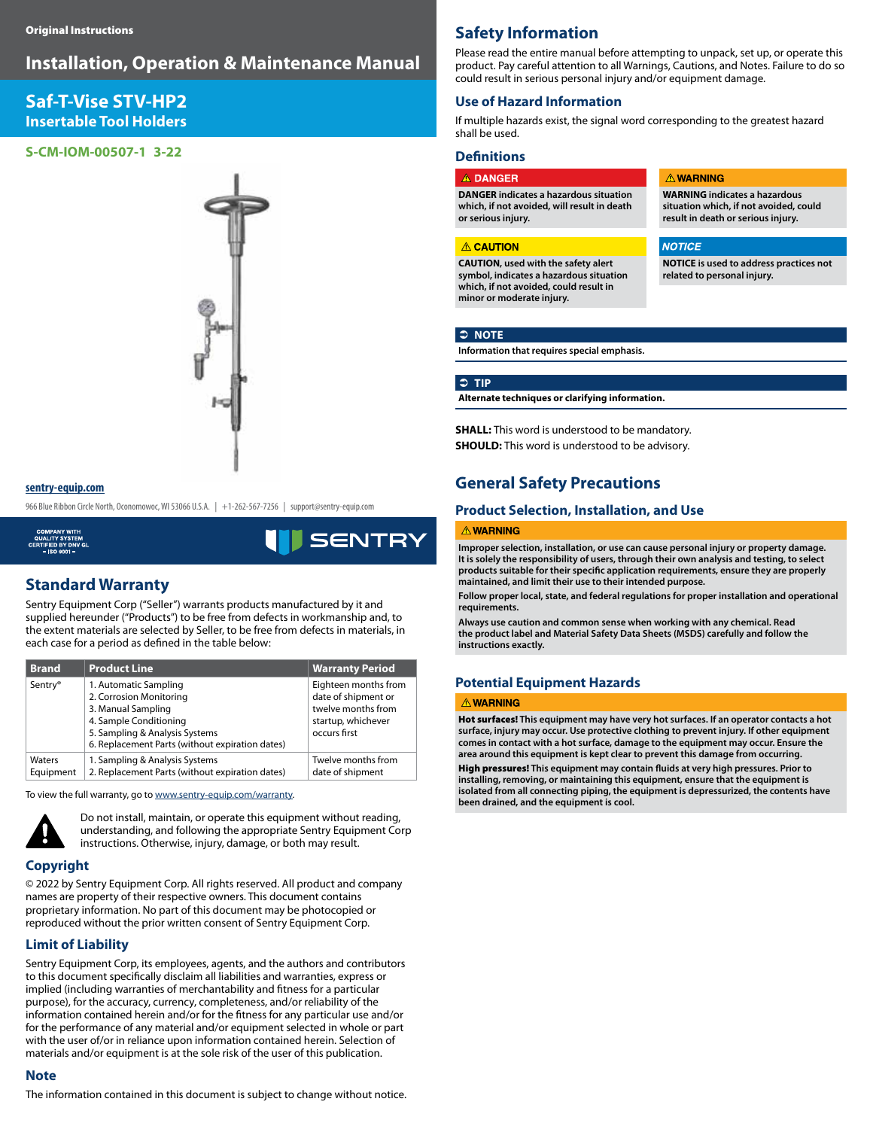# **Installation, Operation & Maintenance Manual**

# **Saf-T-Vise STV-HP2 Insertable Tool Holders**

#### **S-CM-IOM-00507-1 3-22**



#### **sentry-equip.com**

966 Blue Ribbon Circle North, Oconomowoc, WI 53066 U.S.A. | +1-262-567-7256 | support@sentry-equip.com

**SENTR'** 

# **Standard Warranty**

Sentry Equipment Corp ("Seller") warrants products manufactured by it and supplied hereunder ("Products") to be free from defects in workmanship and, to the extent materials are selected by Seller, to be free from defects in materials, in each case for a period as defined in the table below:

| <b>Brand</b>        | <b>Product Line</b>                                                                                                                                                                   | <b>Warranty Period</b>                                                                                  |
|---------------------|---------------------------------------------------------------------------------------------------------------------------------------------------------------------------------------|---------------------------------------------------------------------------------------------------------|
| Sentry <sup>®</sup> | 1. Automatic Sampling<br>2. Corrosion Monitoring<br>3. Manual Sampling<br>4. Sample Conditioning<br>5. Sampling & Analysis Systems<br>6. Replacement Parts (without expiration dates) | Eighteen months from<br>date of shipment or<br>twelve months from<br>startup, whichever<br>occurs first |
| Waters<br>Equipment | 1. Sampling & Analysis Systems<br>2. Replacement Parts (without expiration dates)                                                                                                     | Twelve months from<br>date of shipment                                                                  |

To view the full warranty, go to www.sentry-equip.com/warranty.



Do not install, maintain, or operate this equipment without reading, understanding, and following the appropriate Sentry Equipment Corp instructions. Otherwise, injury, damage, or both may result.

### **Copyright**

© 2022 by Sentry Equipment Corp. All rights reserved. All product and company names are property of their respective owners. This document contains proprietary information. No part of this document may be photocopied or reproduced without the prior written consent of Sentry Equipment Corp.

#### **Limit of Liability**

Sentry Equipment Corp, its employees, agents, and the authors and contributors to this document specifically disclaim all liabilities and warranties, express or implied (including warranties of merchantability and fitness for a particular purpose), for the accuracy, currency, completeness, and/or reliability of the information contained herein and/or for the fitness for any particular use and/or for the performance of any material and/or equipment selected in whole or part with the user of/or in reliance upon information contained herein. Selection of materials and/or equipment is at the sole risk of the user of this publication.

#### **Note**

The information contained in this document is subject to change without notice.

## **Safety Information**

Please read the entire manual before attempting to unpack, set up, or operate this product. Pay careful attention to all Warnings, Cautions, and Notes. Failure to do so could result in serious personal injury and/or equipment damage.

### **Use of Hazard Information**

If multiple hazards exist, the signal word corresponding to the greatest hazard shall be used.

### **Definitions**

**A DANGER DANGER indicates a hazardous situation which, if not avoided, will result in death or serious injury.**

#### **A CAUTION**

**CAUTION, used with the safety alert symbol, indicates a hazardous situation which, if not avoided, could result in minor or moderate injury.**

#### **A WARNING**

**NOTICE** 

**WARNING indicates a hazardous situation which, if not avoided, could result in death or serious injury.**

**NOTICE is used to address practices not related to personal injury.**

#### Â **NOTE**

**Information that requires special emphasis.**

#### Â **TIP**

**Alternate techniques or clarifying information.**

**SHALL:** This word is understood to be mandatory. **SHOULD:** This word is understood to be advisory.

### **General Safety Precautions**

### **Product Selection, Installation, and Use**

#### **A WARNING**

**Improper selection, installation, or use can cause personal injury or property damage. It is solely the responsibility of users, through their own analysis and testing, to select**  products suitable for their specific application requirements, ensure they are properly **maintained, and limit their use to their intended purpose.**

**Follow proper local, state, and federal regulations for proper installation and operational requirements.**

**Always use caution and common sense when working with any chemical. Read the product label and Material Safety Data Sheets (MSDS) carefully and follow the instructions exactly.**

### **Potential Equipment Hazards**

#### **A WARNING**

Hot surfaces! **This equipment may have very hot surfaces. If an operator contacts a hot surface, injury may occur. Use protective clothing to prevent injury. If other equipment comes in contact with a hot surface, damage to the equipment may occur. Ensure the area around this equipment is kept clear to prevent this damage from occurring.**

High pressures! This equipment may contain fluids at very high pressures. Prior to **installing, removing, or maintaining this equipment, ensure that the equipment is isolated from all connecting piping, the equipment is depressurized, the contents have been drained, and the equipment is cool.**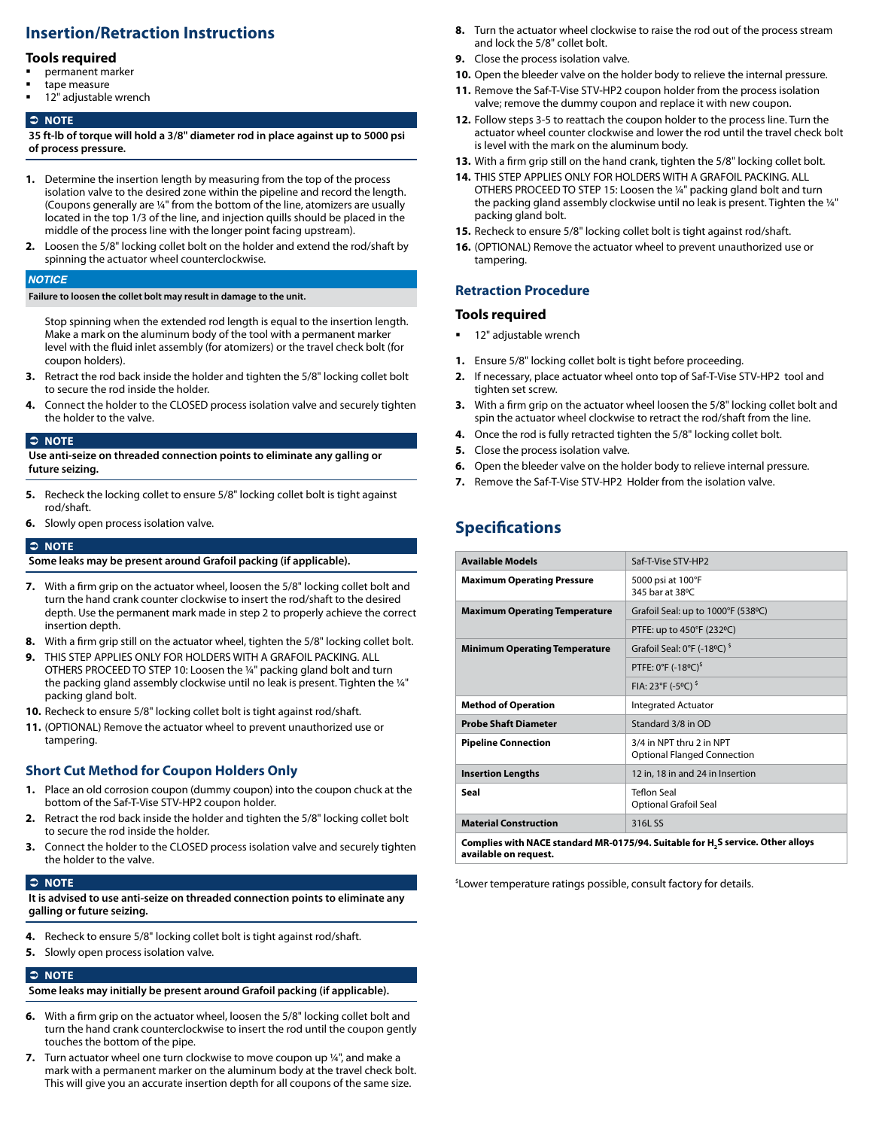# **Insertion/Retraction Instructions**

### **Tools required**

- permanent marker
- tape measure
- 12" adjustable wrench

#### Â **NOTE**

**35 ft-lb of torque will hold a 3/8" diameter rod in place against up to 5000 psi of process pressure.** 

- **1.** Determine the insertion length by measuring from the top of the process isolation valve to the desired zone within the pipeline and record the length. (Coupons generally are ¼" from the bottom of the line, atomizers are usually located in the top 1/3 of the line, and injection quills should be placed in the middle of the process line with the longer point facing upstream).
- **2.** Loosen the 5/8" locking collet bolt on the holder and extend the rod/shaft by spinning the actuator wheel counterclockwise.

#### **NOTICE**

**Failure to loosen the collet bolt may result in damage to the unit.**

Stop spinning when the extended rod length is equal to the insertion length. Make a mark on the aluminum body of the tool with a permanent marker level with the fluid inlet assembly (for atomizers) or the travel check bolt (for coupon holders).

- **3.** Retract the rod back inside the holder and tighten the 5/8" locking collet bolt to secure the rod inside the holder.
- **4.** Connect the holder to the CLOSED process isolation valve and securely tighten the holder to the valve.

#### Â **NOTE**

**Use anti-seize on threaded connection points to eliminate any galling or future seizing.**

- **5.** Recheck the locking collet to ensure 5/8" locking collet bolt is tight against rod/shaft.
- **6.** Slowly open process isolation valve.

#### **C NOTE**

**Some leaks may be present around Grafoil packing (if applicable).**

- **7.** With a firm grip on the actuator wheel, loosen the 5/8" locking collet bolt and turn the hand crank counter clockwise to insert the rod/shaft to the desired depth. Use the permanent mark made in step 2 to properly achieve the correct insertion depth.
- **8.** With a firm grip still on the actuator wheel, tighten the 5/8" locking collet bolt.
- **9.** THIS STEP APPLIES ONLY FOR HOLDERS WITH A GRAFOIL PACKING. ALL OTHERS PROCEED TO STEP 10: Loosen the ¼" packing gland bolt and turn the packing gland assembly clockwise until no leak is present. Tighten the 1/4" packing gland bolt.
- **10.** Recheck to ensure 5/8" locking collet bolt is tight against rod/shaft.
- **11.** (OPTIONAL) Remove the actuator wheel to prevent unauthorized use or tampering.

#### **Short Cut Method for Coupon Holders Only**

- **1.** Place an old corrosion coupon (dummy coupon) into the coupon chuck at the bottom of the Saf-T-Vise STV-HP2 coupon holder.
- **2.** Retract the rod back inside the holder and tighten the 5/8" locking collet bolt to secure the rod inside the holder.
- **3.** Connect the holder to the CLOSED process isolation valve and securely tighten the holder to the valve.

#### Â **NOTE**

**It is advised to use anti-seize on threaded connection points to eliminate any galling or future seizing.**

- **4.** Recheck to ensure 5/8" locking collet bolt is tight against rod/shaft.
- **5.** Slowly open process isolation valve.

#### Â **NOTE**

**Some leaks may initially be present around Grafoil packing (if applicable).**

- **6.** With a firm grip on the actuator wheel, loosen the 5/8" locking collet bolt and turn the hand crank counterclockwise to insert the rod until the coupon gently touches the bottom of the pipe.
- **7.** Turn actuator wheel one turn clockwise to move coupon up ¼", and make a mark with a permanent marker on the aluminum body at the travel check bolt. This will give you an accurate insertion depth for all coupons of the same size.
- **8.** Turn the actuator wheel clockwise to raise the rod out of the process stream and lock the 5/8" collet bolt.
- **9.** Close the process isolation valve.
- **10.** Open the bleeder valve on the holder body to relieve the internal pressure.
- **11.** Remove the Saf-T-Vise STV-HP2 coupon holder from the process isolation valve; remove the dummy coupon and replace it with new coupon.
- **12.** Follow steps 3-5 to reattach the coupon holder to the process line. Turn the actuator wheel counter clockwise and lower the rod until the travel check bolt is level with the mark on the aluminum body.
- **13.** With a firm grip still on the hand crank, tighten the 5/8" locking collet bolt.
- **14.** THIS STEP APPLIES ONLY FOR HOLDERS WITH A GRAFOIL PACKING. ALL OTHERS PROCEED TO STEP 15: Loosen the ¼" packing gland bolt and turn the packing gland assembly clockwise until no leak is present. Tighten the ¼" packing gland bolt.
- **15.** Recheck to ensure 5/8" locking collet bolt is tight against rod/shaft.
- **16.** (OPTIONAL) Remove the actuator wheel to prevent unauthorized use or tampering.

### **Retraction Procedure**

#### **Tools required**

- 12" adjustable wrench
- **1.** Ensure 5/8" locking collet bolt is tight before proceeding.
- **2.** If necessary, place actuator wheel onto top of Saf-T-Vise STV-HP2 tool and tighten set screw.
- **3.** With a firm grip on the actuator wheel loosen the 5/8" locking collet bolt and spin the actuator wheel clockwise to retract the rod/shaft from the line.
- **4.** Once the rod is fully retracted tighten the 5/8" locking collet bolt.
- **5.** Close the process isolation valve.
- **6.** Open the bleeder valve on the holder body to relieve internal pressure.
- **7.** Remove the Saf-T-Vise STV-HP2 Holder from the isolation valve.

# **Specifications**

**available on request.**

| <b>Available Models</b>                                                                     | Saf-T-Vise STV-HP2                                             |  |  |
|---------------------------------------------------------------------------------------------|----------------------------------------------------------------|--|--|
| <b>Maximum Operating Pressure</b>                                                           | 5000 psi at 100°F<br>345 bar at 38°C                           |  |  |
| <b>Maximum Operating Temperature</b>                                                        | Grafoil Seal: up to 1000°F (538°C)                             |  |  |
|                                                                                             | PTFE: up to 450°F (232°C)                                      |  |  |
| <b>Minimum Operating Temperature</b>                                                        | Grafoil Seal: 0°F (-18°C) <sup>\$</sup>                        |  |  |
|                                                                                             | PTFE: 0°F (-18°C) <sup>\$</sup>                                |  |  |
|                                                                                             | FIA: 23°F (-5°C) <sup>\$</sup>                                 |  |  |
| <b>Method of Operation</b>                                                                  | Integrated Actuator                                            |  |  |
| <b>Probe Shaft Diameter</b>                                                                 | Standard 3/8 in OD                                             |  |  |
| <b>Pipeline Connection</b>                                                                  | 3/4 in NPT thru 2 in NPT<br><b>Optional Flanged Connection</b> |  |  |
| <b>Insertion Lengths</b>                                                                    | 12 in, 18 in and 24 in Insertion                               |  |  |
| Seal                                                                                        | <b>Teflon Seal</b><br><b>Optional Grafoil Seal</b>             |  |  |
| <b>Material Construction</b>                                                                | 316L SS                                                        |  |  |
| Complies with NACE standard MR-0175/94. Suitable for H <sub>2</sub> S service. Other alloys |                                                                |  |  |

\$Lower temperature ratings possible, consult factory for details.